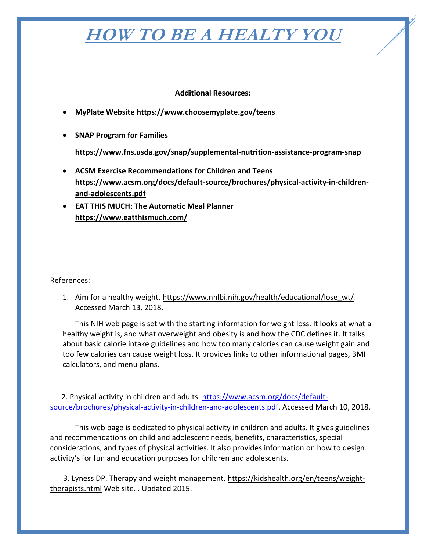## **HOW TO BE A HEALTY YOU**

1

## **Additional Resources:**

- **MyPlate Website<https://www.choosemyplate.gov/teens>**
- **SNAP Program for Families**

## **<https://www.fns.usda.gov/snap/supplemental-nutrition-assistance-program-snap>**

- **ACSM Exercise Recommendations for Children and Teens [https://www.acsm.org/docs/default-source/brochures/physical-activity-in-children](https://www.acsm.org/docs/default-source/brochures/physical-activity-in-children-and-adolescents.pdf)[and-adolescents.pdf](https://www.acsm.org/docs/default-source/brochures/physical-activity-in-children-and-adolescents.pdf)**
- **EAT THIS MUCH: The Automatic Meal Planner <https://www.eatthismuch.com/>**

References:

1. Aim for a healthy weight. [https://www.nhlbi.nih.gov/health/educational/lose\\_wt/.](https://www.nhlbi.nih.gov/health/educational/lose_wt/) Accessed March 13, 2018.

This NIH web page is set with the starting information for weight loss. It looks at what a healthy weight is, and what overweight and obesity is and how the CDC defines it. It talks about basic calorie intake guidelines and how too many calories can cause weight gain and too few calories can cause weight loss. It provides links to other informational pages, BMI calculators, and menu plans.

2. Physical activity in children and adults. [https://www.acsm.org/docs/default](https://www.acsm.org/docs/default-%20%20%20%20%20%20%20%20%20%20source/brochures/physical-activity-in-children-and-adolescents.pdf)[source/brochures/physical-activity-in-children-and-adolescents.pdf.](https://www.acsm.org/docs/default-%20%20%20%20%20%20%20%20%20%20source/brochures/physical-activity-in-children-and-adolescents.pdf) Accessed March 10, 2018.

This web page is dedicated to physical activity in children and adults. It gives guidelines and recommendations on child and adolescent needs, benefits, characteristics, special considerations, and types of physical activities. It also provides information on how to design activity's for fun and education purposes for children and adolescents.

3. Lyness DP. Therapy and weight management. [https://kidshealth.org/en/teens/weight](https://kidshealth.org/en/teens/weight-therapists.html)[therapists.html](https://kidshealth.org/en/teens/weight-therapists.html) Web site. . Updated 2015.